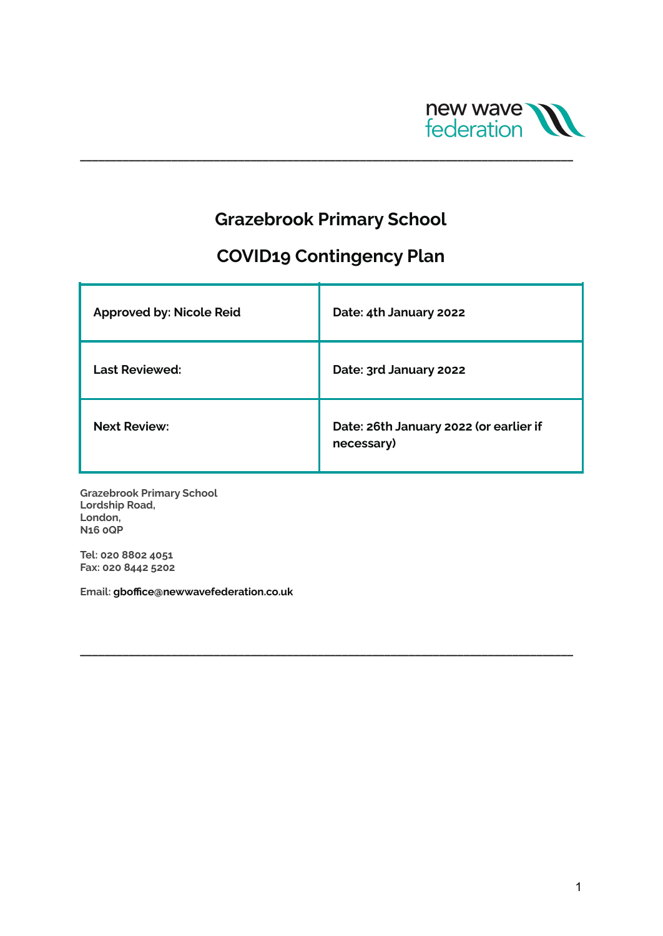

## **Grazebrook Primary School**

**\_\_\_\_\_\_\_\_\_\_\_\_\_\_\_\_\_\_\_\_\_\_\_\_\_\_\_\_\_\_\_\_\_\_\_\_\_\_\_\_\_\_\_\_\_\_\_\_\_\_\_\_\_\_\_\_\_\_\_\_\_\_\_\_\_\_\_\_\_\_\_\_\_\_\_\_\_\_\_\_\_**

# **COVID19 Contingency Plan**

| <b>Approved by: Nicole Reid</b> | Date: 4th January 2022                               |
|---------------------------------|------------------------------------------------------|
| <b>Last Reviewed:</b>           | Date: 3rd January 2022                               |
| <b>Next Review:</b>             | Date: 26th January 2022 (or earlier if<br>necessary) |

**\_\_\_\_\_\_\_\_\_\_\_\_\_\_\_\_\_\_\_\_\_\_\_\_\_\_\_\_\_\_\_\_\_\_\_\_\_\_\_\_\_\_\_\_\_\_\_\_\_\_\_\_\_\_\_\_\_\_\_\_\_\_\_\_\_\_\_\_\_\_\_\_\_\_\_\_\_\_\_\_\_**

**Grazebrook Primary School Lordship Road, London, N16 0QP**

**Tel: 020 8802 4051 Fax: 020 8442 5202**

**Email: gboffice@newwavefederation.co.uk**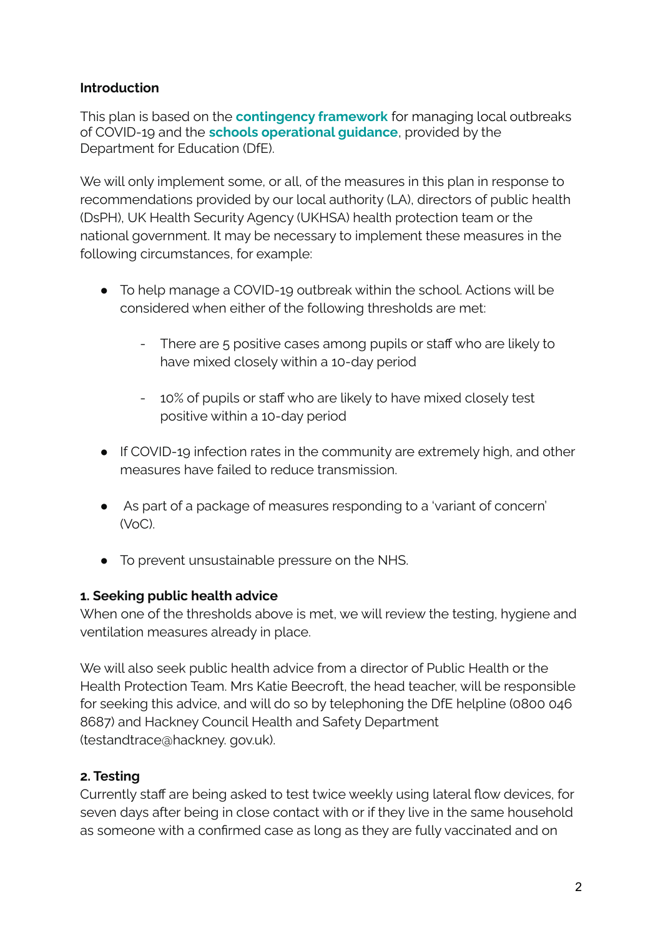#### **Introduction**

This plan is based on the **[contingency](https://www.gov.uk/government/publications/coronavirus-covid-19-local-restrictions-in-education-and-childcare-settings) framework** for managing local outbreaks of COVID-19 and the **schools [operational](https://www.gov.uk/government/publications/actions-for-schools-during-the-coronavirus-outbreak) guidance**, provided by the Department for Education (DfE).

We will only implement some, or all, of the measures in this plan in response to recommendations provided by our local authority (LA), directors of public health (DsPH), UK Health Security Agency (UKHSA) health protection team or the national government. It may be necessary to implement these measures in the following circumstances, for example:

- To help manage a COVID-19 outbreak within the school. Actions will be considered when either of the following thresholds are met:
	- There are 5 positive cases among pupils or staff who are likely to have mixed closely within a 10-day period
	- 10% of pupils or staff who are likely to have mixed closely test positive within a 10-day period
- If COVID-19 infection rates in the community are extremely high, and other measures have failed to reduce transmission.
- As part of a package of measures responding to a 'variant of concern'  $(\forall o \cap)$
- To prevent unsustainable pressure on the NHS.

## **1. Seeking public health advice**

When one of the thresholds above is met, we will review the testing, hygiene and ventilation measures already in place.

We will also seek public health advice from a director of Public Health or the Health Protection Team. Mrs Katie Beecroft, the head teacher, will be responsible for seeking this advice, and will do so by telephoning the DfE helpline (0800 046 8687) and Hackney Council Health and Safety Department (testandtrace@hackney. gov.uk).

## **2. Testing**

Currently staff are being asked to test twice weekly using lateral flow devices, for seven days after being in close contact with or if they live in the same household as someone with a confirmed case as long as they are fully vaccinated and on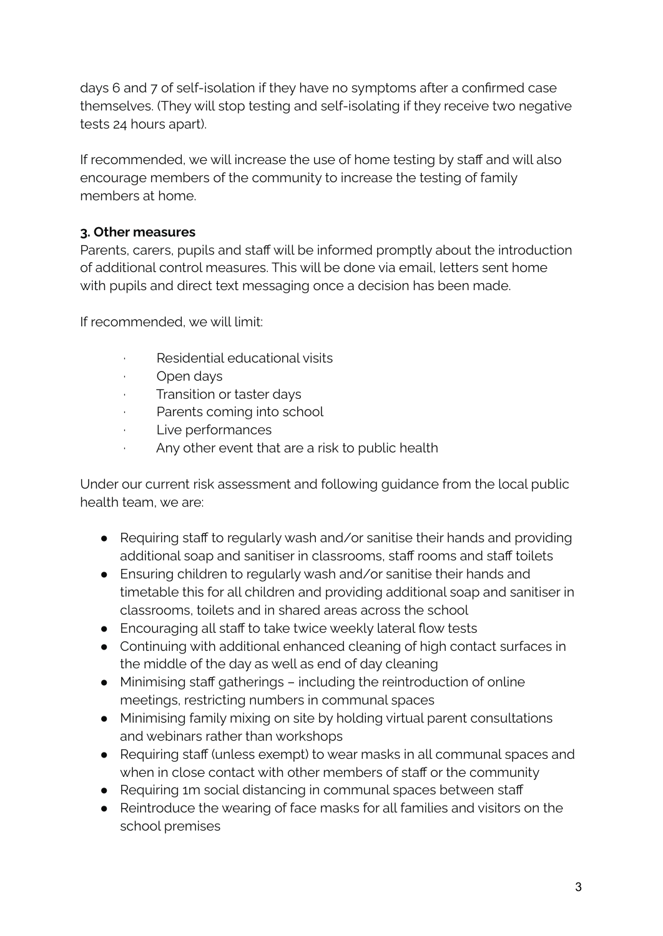days 6 and 7 of self-isolation if they have no symptoms after a confirmed case themselves. (They will stop testing and self-isolating if they receive two negative tests 24 hours apart).

If recommended, we will increase the use of home testing by staff and will also encourage members of the community to increase the testing of family members at home.

#### **3. Other measures**

Parents, carers, pupils and staff will be informed promptly about the introduction of additional control measures. This will be done via email, letters sent home with pupils and direct text messaging once a decision has been made.

If recommended, we will limit:

- · Residential educational visits
- Open days
- · Transition or taster days
- · Parents coming into school
- · Live performances
- Any other event that are a risk to public health

Under our current risk assessment and following guidance from the local public health team, we are:

- Requiring staff to regularly wash and/or sanitise their hands and providing additional soap and sanitiser in classrooms, staff rooms and staff toilets
- Ensuring children to regularly wash and/or sanitise their hands and timetable this for all children and providing additional soap and sanitiser in classrooms, toilets and in shared areas across the school
- Encouraging all staff to take twice weekly lateral flow tests
- Continuing with additional enhanced cleaning of high contact surfaces in the middle of the day as well as end of day cleaning
- Minimising staff gatherings including the reintroduction of online meetings, restricting numbers in communal spaces
- Minimising family mixing on site by holding virtual parent consultations and webinars rather than workshops
- Requiring staff (unless exempt) to wear masks in all communal spaces and when in close contact with other members of staff or the community
- Requiring 1m social distancing in communal spaces between staff
- Reintroduce the wearing of face masks for all families and visitors on the school premises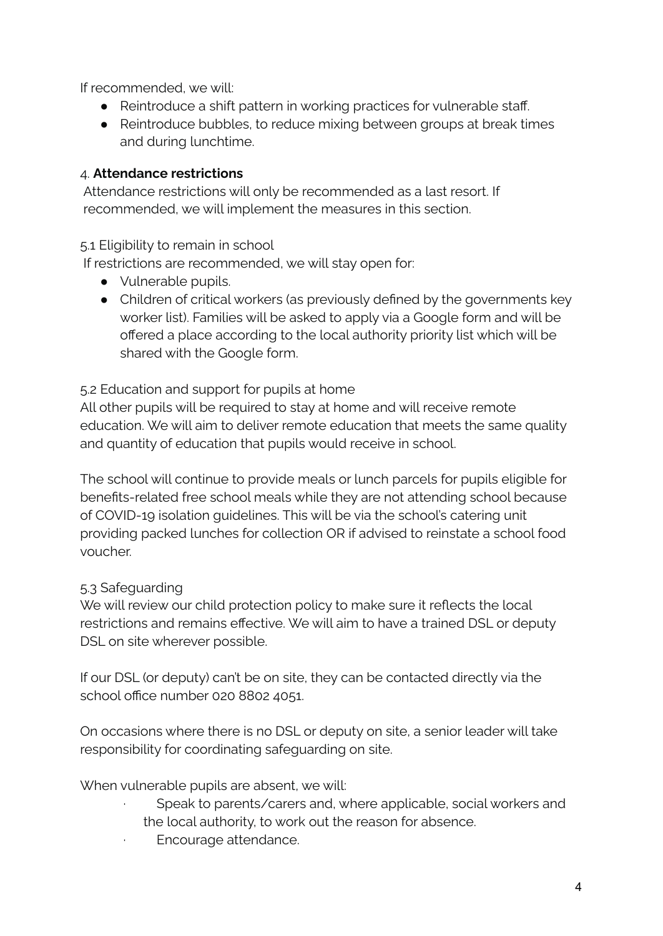If recommended, we will:

- Reintroduce a shift pattern in working practices for vulnerable staff.
- Reintroduce bubbles, to reduce mixing between groups at break times and during lunchtime.

## 4. **Attendance restrictions**

Attendance restrictions will only be recommended as a last resort. If recommended, we will implement the measures in this section.

## 5.1 Eligibility to remain in school

If restrictions are recommended, we will stay open for:

- Vulnerable pupils.
- Children of critical workers (as previously defined by the governments key worker list). Families will be asked to apply via a Google form and will be offered a place according to the local authority priority list which will be shared with the Google form.

#### 5.2 Education and support for pupils at home

All other pupils will be required to stay at home and will receive remote education. We will aim to deliver remote education that meets the same quality and quantity of education that pupils would receive in school.

The school will continue to provide meals or lunch parcels for pupils eligible for benefits-related free school meals while they are not attending school because of COVID-19 isolation guidelines. This will be via the school's catering unit providing packed lunches for collection OR if advised to reinstate a school food voucher.

## 5.3 Safeguarding

We will review our child protection policy to make sure it reflects the local restrictions and remains effective. We will aim to have a trained DSL or deputy DSL on site wherever possible.

If our DSL (or deputy) can't be on site, they can be contacted directly via the school office number 020 8802 4051.

On occasions where there is no DSL or deputy on site, a senior leader will take responsibility for coordinating safeguarding on site.

When vulnerable pupils are absent, we will:

- Speak to parents/carers and, where applicable, social workers and the local authority, to work out the reason for absence.
- Encourage attendance.